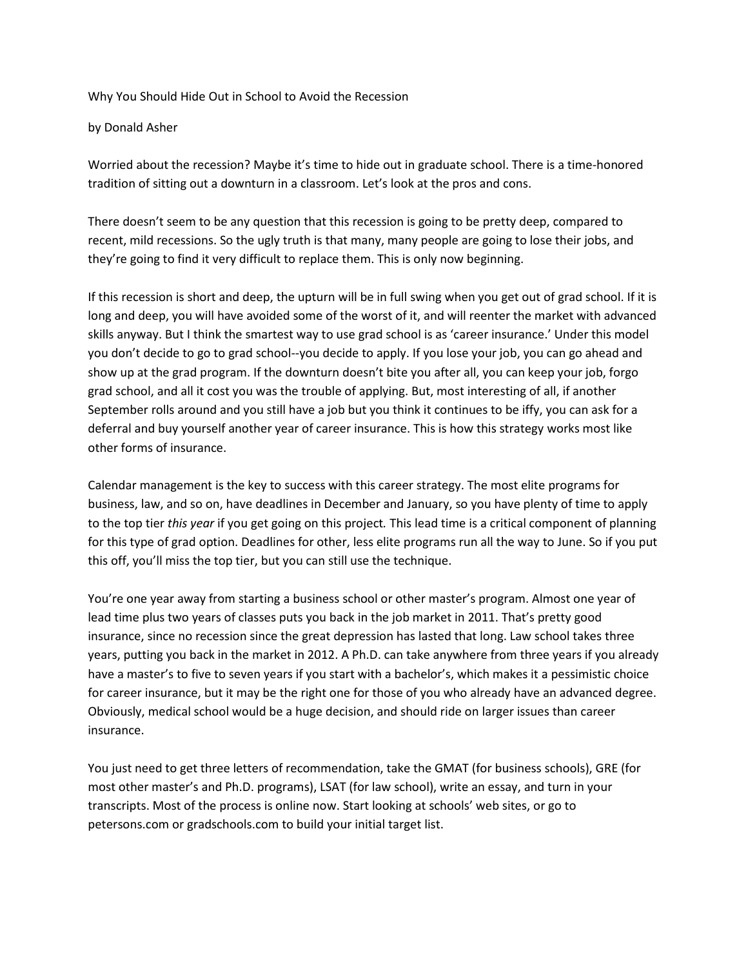Why You Should Hide Out in School to Avoid the Recession

by Donald Asher

Worried about the recession? Maybe it's time to hide out in graduate school. There is a time-honored tradition of sitting out a downturn in a classroom. Let's look at the pros and cons.

There doesn't seem to be any question that this recession is going to be pretty deep, compared to recent, mild recessions. So the ugly truth is that many, many people are going to lose their jobs, and they're going to find it very difficult to replace them. This is only now beginning.

If this recession is short and deep, the upturn will be in full swing when you get out of grad school. If it is long and deep, you will have avoided some of the worst of it, and will reenter the market with advanced skills anyway. But I think the smartest way to use grad school is as 'career insurance.' Under this model you don't decide to go to grad school--you decide to apply. If you lose your job, you can go ahead and show up at the grad program. If the downturn doesn't bite you after all, you can keep your job, forgo grad school, and all it cost you was the trouble of applying. But, most interesting of all, if another September rolls around and you still have a job but you think it continues to be iffy, you can ask for a deferral and buy yourself another year of career insurance. This is how this strategy works most like other forms of insurance.

Calendar management is the key to success with this career strategy. The most elite programs for business, law, and so on, have deadlines in December and January, so you have plenty of time to apply to the top tier *this year* if you get going on this project*.* This lead time is a critical component of planning for this type of grad option. Deadlines for other, less elite programs run all the way to June. So if you put this off, you'll miss the top tier, but you can still use the technique.

You're one year away from starting a business school or other master's program. Almost one year of lead time plus two years of classes puts you back in the job market in 2011. That's pretty good insurance, since no recession since the great depression has lasted that long. Law school takes three years, putting you back in the market in 2012. A Ph.D. can take anywhere from three years if you already have a master's to five to seven years if you start with a bachelor's, which makes it a pessimistic choice for career insurance, but it may be the right one for those of you who already have an advanced degree. Obviously, medical school would be a huge decision, and should ride on larger issues than career insurance.

You just need to get three letters of recommendation, take the GMAT (for business schools), GRE (for most other master's and Ph.D. programs), LSAT (for law school), write an essay, and turn in your transcripts. Most of the process is online now. Start looking at schools' web sites, or go to petersons.com or gradschools.com to build your initial target list.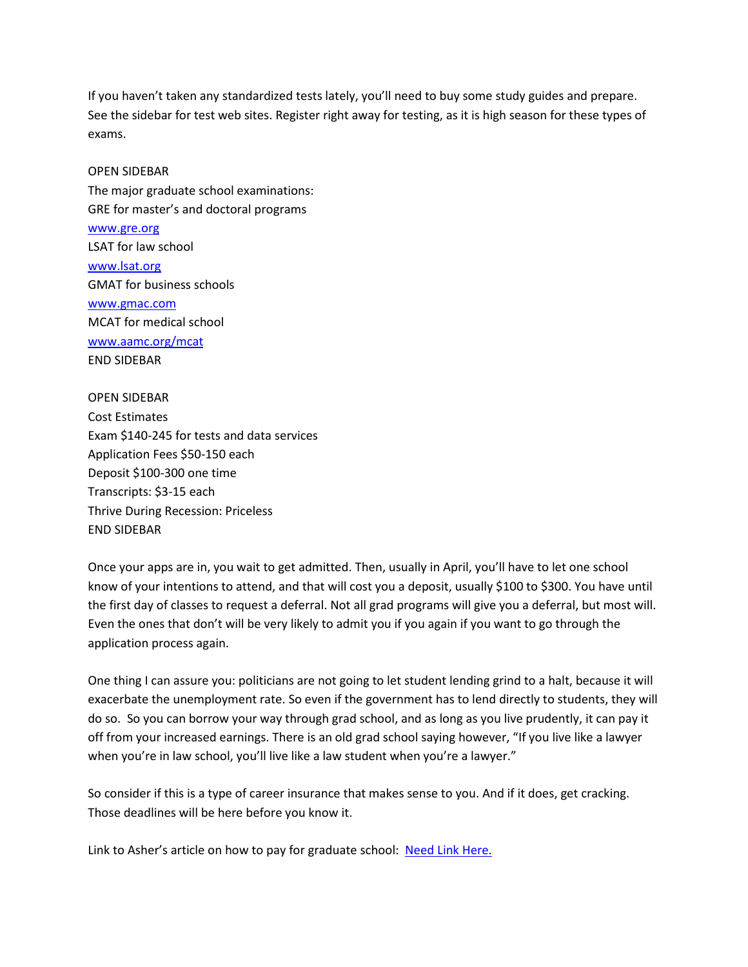If you haven't taken any standardized tests lately, you'll need to buy some study guides and prepare. See the sidebar for test web sites. Register right away for testing, as it is high season for these types of exams.

## OPEN SIDEBAR

The major graduate school examinations: GRE for master's and doctoral programs

[www.gre.org](http://www.gre.org/) LSAT for law school [www.lsat.org](http://www.lsat.org/) GMAT for business schools [www.gmac.com](http://www.gmac.com/) MCAT for medical school [www.aamc.org/mcat](http://www.aamc.org/mcat) END SIDEBAR

OPEN SIDEBAR Cost Estimates Exam \$140-245 for tests and data services Application Fees \$50-150 each Deposit \$100-300 one time Transcripts: \$3-15 each Thrive During Recession: Priceless END SIDEBAR

Once your apps are in, you wait to get admitted. Then, usually in April, you'll have to let one school know of your intentions to attend, and that will cost you a deposit, usually \$100 to \$300. You have until the first day of classes to request a deferral. Not all grad programs will give you a deferral, but most will. Even the ones that don't will be very likely to admit you if you again if you want to go through the application process again.

One thing I can assure you: politicians are not going to let student lending grind to a halt, because it will exacerbate the unemployment rate. So even if the government has to lend directly to students, they will do so. So you can borrow your way through grad school, and as long as you live prudently, it can pay it off from your increased earnings. There is an old grad school saying however, "If you live like a lawyer when you're in law school, you'll live like a law student when you're a lawyer."

So consider if this is a type of career insurance that makes sense to you. And if it does, get cracking. Those deadlines will be here before you know it.

Link to Asher's article on how to pay for graduate school: Need Link Here.